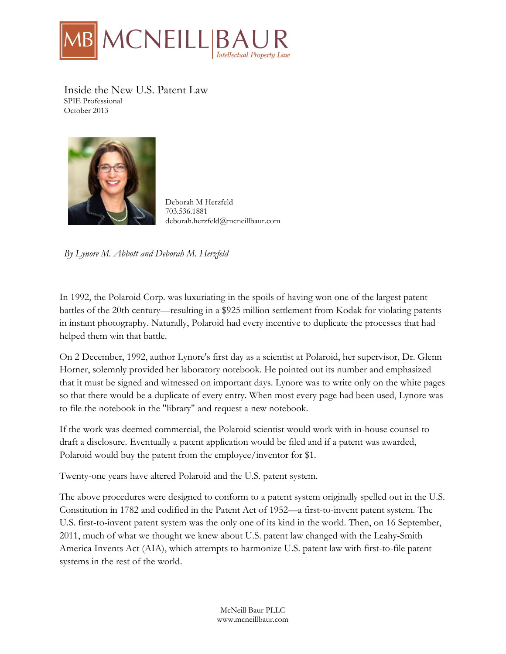

Inside the New U.S. Patent Law SPIE Professional October 2013



Deborah M Herzfeld 703.536.1881 deborah.herzfeld@mcneillbaur.com

*By Lynore M. Abbott and Deborah M. Herzfeld*

In 1992, the Polaroid Corp. was luxuriating in the spoils of having won one of the largest patent battles of the 20th century—resulting in a \$925 million settlement from Kodak for violating patents in instant photography. Naturally, Polaroid had every incentive to duplicate the processes that had helped them win that battle.

On 2 December, 1992, author Lynore's first day as a scientist at Polaroid, her supervisor, Dr. Glenn Horner, solemnly provided her laboratory notebook. He pointed out its number and emphasized that it must be signed and witnessed on important days. Lynore was to write only on the white pages so that there would be a duplicate of every entry. When most every page had been used, Lynore was to file the notebook in the "library" and request a new notebook.

If the work was deemed commercial, the Polaroid scientist would work with in-house counsel to draft a disclosure. Eventually a patent application would be filed and if a patent was awarded, Polaroid would buy the patent from the employee/inventor for \$1.

Twenty-one years have altered Polaroid and the U.S. patent system.

The above procedures were designed to conform to a patent system originally spelled out in the U.S. Constitution in 1782 and codified in the Patent Act of 1952—a first-to-invent patent system. The U.S. first-to-invent patent system was the only one of its kind in the world. Then, on 16 September, 2011, much of what we thought we knew about U.S. patent law changed with the Leahy-Smith America Invents Act (AIA), which attempts to harmonize U.S. patent law with first-to-file patent systems in the rest of the world.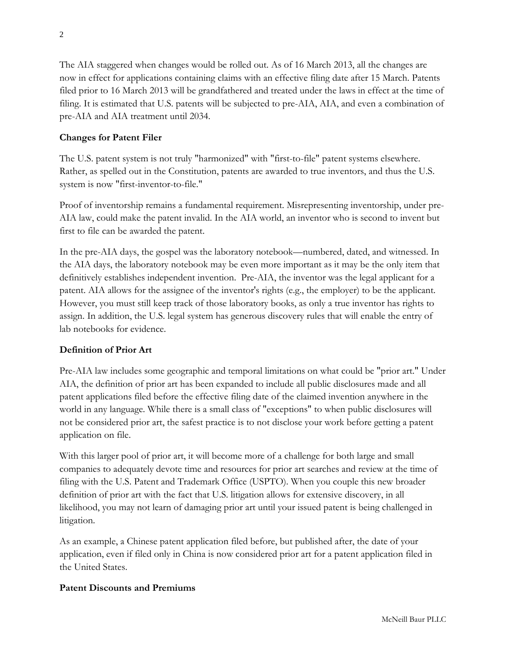The AIA staggered when changes would be rolled out. As of 16 March 2013, all the changes are now in effect for applications containing claims with an effective filing date after 15 March. Patents filed prior to 16 March 2013 will be grandfathered and treated under the laws in effect at the time of filing. It is estimated that U.S. patents will be subjected to pre-AIA, AIA, and even a combination of pre-AIA and AIA treatment until 2034.

# **Changes for Patent Filer**

The U.S. patent system is not truly "harmonized" with "first-to-file" patent systems elsewhere. Rather, as spelled out in the Constitution, patents are awarded to true inventors, and thus the U.S. system is now "first-inventor-to-file."

Proof of inventorship remains a fundamental requirement. Misrepresenting inventorship, under pre-AIA law, could make the patent invalid. In the AIA world, an inventor who is second to invent but first to file can be awarded the patent.

In the pre-AIA days, the gospel was the laboratory notebook—numbered, dated, and witnessed. In the AIA days, the laboratory notebook may be even more important as it may be the only item that definitively establishes independent invention. Pre-AIA, the inventor was the legal applicant for a patent. AIA allows for the assignee of the inventor's rights (e.g., the employer) to be the applicant. However, you must still keep track of those laboratory books, as only a true inventor has rights to assign. In addition, the U.S. legal system has generous discovery rules that will enable the entry of lab notebooks for evidence.

#### **Definition of Prior Art**

Pre-AIA law includes some geographic and temporal limitations on what could be "prior art." Under AIA, the definition of prior art has been expanded to include all public disclosures made and all patent applications filed before the effective filing date of the claimed invention anywhere in the world in any language. While there is a small class of "exceptions" to when public disclosures will not be considered prior art, the safest practice is to not disclose your work before getting a patent application on file.

With this larger pool of prior art, it will become more of a challenge for both large and small companies to adequately devote time and resources for prior art searches and review at the time of filing with the U.S. Patent and Trademark Office (USPTO). When you couple this new broader definition of prior art with the fact that U.S. litigation allows for extensive discovery, in all likelihood, you may not learn of damaging prior art until your issued patent is being challenged in litigation.

As an example, a Chinese patent application filed before, but published after, the date of your application, even if filed only in China is now considered prior art for a patent application filed in the United States.

#### **Patent Discounts and Premiums**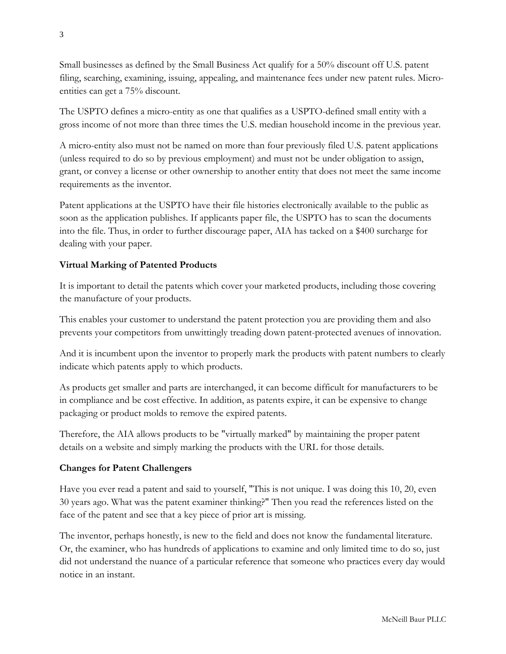Small businesses as defined by the Small Business Act qualify for a 50% discount off U.S. patent filing, searching, examining, issuing, appealing, and maintenance fees under new patent rules. Microentities can get a 75% discount.

The USPTO defines a micro-entity as one that qualifies as a USPTO-defined small entity with a gross income of not more than three times the U.S. median household income in the previous year.

A micro-entity also must not be named on more than four previously filed U.S. patent applications (unless required to do so by previous employment) and must not be under obligation to assign, grant, or convey a license or other ownership to another entity that does not meet the same income requirements as the inventor.

Patent applications at the USPTO have their file histories electronically available to the public as soon as the application publishes. If applicants paper file, the USPTO has to scan the documents into the file. Thus, in order to further discourage paper, AIA has tacked on a \$400 surcharge for dealing with your paper.

### **Virtual Marking of Patented Products**

It is important to detail the patents which cover your marketed products, including those covering the manufacture of your products.

This enables your customer to understand the patent protection you are providing them and also prevents your competitors from unwittingly treading down patent-protected avenues of innovation.

And it is incumbent upon the inventor to properly mark the products with patent numbers to clearly indicate which patents apply to which products.

As products get smaller and parts are interchanged, it can become difficult for manufacturers to be in compliance and be cost effective. In addition, as patents expire, it can be expensive to change packaging or product molds to remove the expired patents.

Therefore, the AIA allows products to be "virtually marked" by maintaining the proper patent details on a website and simply marking the products with the URL for those details.

#### **Changes for Patent Challengers**

Have you ever read a patent and said to yourself, "This is not unique. I was doing this 10, 20, even 30 years ago. What was the patent examiner thinking?" Then you read the references listed on the face of the patent and see that a key piece of prior art is missing.

The inventor, perhaps honestly, is new to the field and does not know the fundamental literature. Or, the examiner, who has hundreds of applications to examine and only limited time to do so, just did not understand the nuance of a particular reference that someone who practices every day would notice in an instant.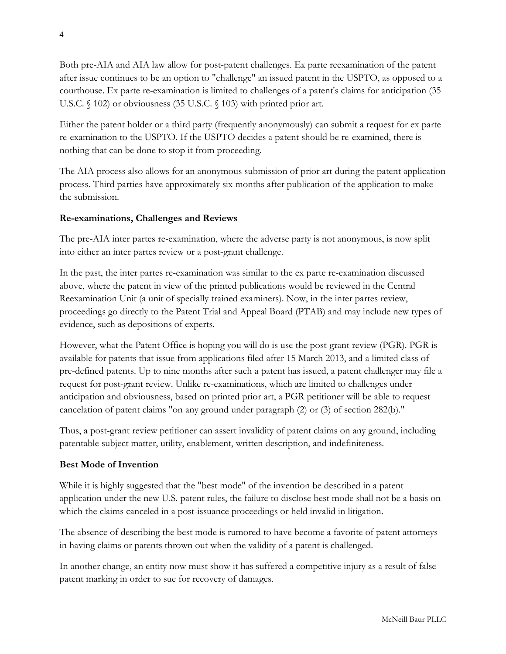Both pre-AIA and AIA law allow for post-patent challenges. Ex parte reexamination of the patent after issue continues to be an option to "challenge" an issued patent in the USPTO, as opposed to a courthouse. Ex parte re-examination is limited to challenges of a patent's claims for anticipation (35 U.S.C. § 102) or obviousness (35 U.S.C. § 103) with printed prior art.

Either the patent holder or a third party (frequently anonymously) can submit a request for ex parte re-examination to the USPTO. If the USPTO decides a patent should be re-examined, there is nothing that can be done to stop it from proceeding.

The AIA process also allows for an anonymous submission of prior art during the patent application process. Third parties have approximately six months after publication of the application to make the submission.

# **Re-examinations, Challenges and Reviews**

The pre-AIA inter partes re-examination, where the adverse party is not anonymous, is now split into either an inter partes review or a post-grant challenge.

In the past, the inter partes re-examination was similar to the ex parte re-examination discussed above, where the patent in view of the printed publications would be reviewed in the Central Reexamination Unit (a unit of specially trained examiners). Now, in the inter partes review, proceedings go directly to the Patent Trial and Appeal Board (PTAB) and may include new types of evidence, such as depositions of experts.

However, what the Patent Office is hoping you will do is use the post-grant review (PGR). PGR is available for patents that issue from applications filed after 15 March 2013, and a limited class of pre-defined patents. Up to nine months after such a patent has issued, a patent challenger may file a request for post-grant review. Unlike re-examinations, which are limited to challenges under anticipation and obviousness, based on printed prior art, a PGR petitioner will be able to request cancelation of patent claims "on any ground under paragraph (2) or (3) of section 282(b)."

Thus, a post-grant review petitioner can assert invalidity of patent claims on any ground, including patentable subject matter, utility, enablement, written description, and indefiniteness.

#### **Best Mode of Invention**

While it is highly suggested that the "best mode" of the invention be described in a patent application under the new U.S. patent rules, the failure to disclose best mode shall not be a basis on which the claims canceled in a post-issuance proceedings or held invalid in litigation.

The absence of describing the best mode is rumored to have become a favorite of patent attorneys in having claims or patents thrown out when the validity of a patent is challenged.

In another change, an entity now must show it has suffered a competitive injury as a result of false patent marking in order to sue for recovery of damages.